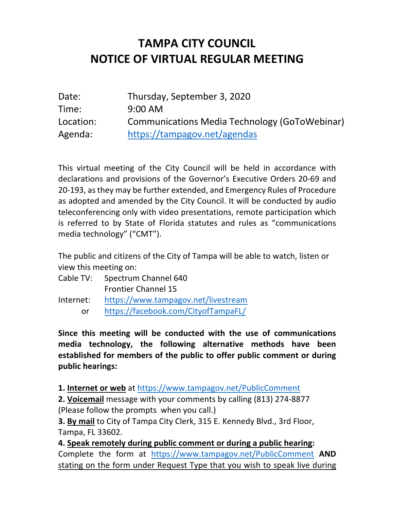## **TAMPA CITY COUNCIL NOTICE OF VIRTUAL REGULAR MEETING**

| Date:     | Thursday, September 3, 2020                          |
|-----------|------------------------------------------------------|
| Time:     | $9:00$ AM                                            |
| Location: | <b>Communications Media Technology (GoToWebinar)</b> |
| Agenda:   | https://tampagov.net/agendas                         |

 This virtual meeting of the City Council will be held in accordance with declarations and provisions of the Governor's Executive Orders 20-69 and 20-193, as they may be further extended, and Emergency Rules of Procedure as adopted and amended by the City Council. It will be conducted by audio is referred to by State of Florida statutes and rules as "communications media technology" ("CMT"). teleconferencing only with video presentations, remote participation which

 The public and citizens of the City of Tampa will be able to watch, listen or view this meeting on:

- Cable TV: Spectrum Channel 640 Frontier Channel 15
- https://www.tampagov.net/livestream Internet: https://www.tampagov.net/livestream<br>or https://facebook.com/CityofTampaFL/
	-

 **Since this meeting will be conducted with the use of communications media technology, the following alternative methods have been established for members of the public to offer public comment or during public hearings:** 

**1. Internet or web** at https://www.tampagov.net/PublicComment

 **2. Voicemail** message with your comments by calling (813) 274-8877 (Please follow the prompts when you call.)

 **3. By mail** to City of Tampa City Clerk, 315 E. Kennedy Blvd., 3rd Floor, Tampa, FL 33602.

 Complete the form at https://www.tampagov.net/PublicComment **AND**  stating on the form under Request Type that you wish to speak live during **4. Speak remotely during public comment or during a public hearing:**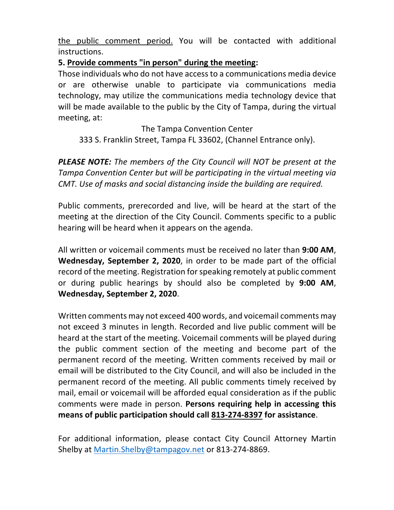the public comment period. You will be contacted with additional instructions.

## **5. Provide comments "in person" during the meeting:**

 Those individuals who do not have access to a communications media device or are otherwise unable to participate via communications media technology, may utilize the communications media technology device that will be made available to the public by the City of Tampa, during the virtual meeting, at:

The Tampa Convention Center 333 S. Franklin Street, Tampa FL 33602, (Channel Entrance only).

 *PLEASE NOTE: The members of the City Council will NOT be present at the Tampa Convention Center but will be participating in the virtual meeting via CMT. Use of masks and social distancing inside the building are required.* 

 Public comments, prerecorded and live, will be heard at the start of the meeting at the direction of the City Council. Comments specific to a public hearing will be heard when it appears on the agenda.

 All written or voicemail comments must be received no later than **9:00 AM**, **Wednesday, September 2, 2020**, in order to be made part of the official record of the meeting. Registration for speaking remotely at public comment or during public hearings by should also be completed by **9:00 AM**, **Wednesday, September 2, 2020**.

 Written comments may not exceed 400 words, and voicemail comments may not exceed 3 minutes in length. Recorded and live public comment will be heard at the start of the meeting. Voicemail comments will be played during the public comment section of the meeting and become part of the permanent record of the meeting. Written comments received by mail or email will be distributed to the City Council, and will also be included in the permanent record of the meeting. All public comments timely received by mail, email or voicemail will be afforded equal consideration as if the public  comments were made in person. **Persons requiring help in accessing this means of public participation should call 813-274-8397 for assistance**.

 For additional information, please contact City Council Attorney Martin Shelby at *Martin.Shelby@tampagov.net* or 813-274-8869.